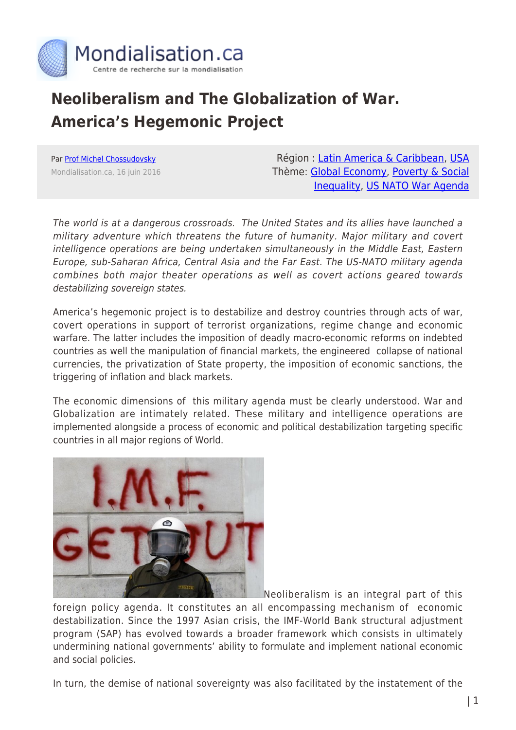

## **Neoliberalism and The Globalization of War. America's Hegemonic Project**

Par [Prof Michel Chossudovsky](https://www.mondialisation.ca/author/michel-chossudovsky) Mondialisation.ca, 16 juin 2016

Région : [Latin America & Caribbean,](https://www.mondialisation.ca/region/latin-america-caribbean) [USA](https://www.mondialisation.ca/region/usa) Thème: [Global Economy](https://www.mondialisation.ca/theme/global-economy), [Poverty & Social](https://www.mondialisation.ca/theme/poverty-social-inequality) [Inequality](https://www.mondialisation.ca/theme/poverty-social-inequality), [US NATO War Agenda](https://www.mondialisation.ca/theme/us-nato-war-agenda)

The world is at a dangerous crossroads. The United States and its allies have launched a military adventure which threatens the future of humanity. Major military and covert intelligence operations are being undertaken simultaneously in the Middle East, Eastern Europe, sub-Saharan Africa, Central Asia and the Far East. The US-NATO military agenda combines both major theater operations as well as covert actions geared towards destabilizing sovereign states.

America's hegemonic project is to destabilize and destroy countries through acts of war, covert operations in support of terrorist organizations, regime change and economic warfare. The latter includes the imposition of deadly macro-economic reforms on indebted countries as well the manipulation of financial markets, the engineered collapse of national currencies, the privatization of State property, the imposition of economic sanctions, the triggering of inflation and black markets.

The economic dimensions of this military agenda must be clearly understood. War and Globalization are intimately related. These military and intelligence operations are implemented alongside a process of economic and political destabilization targeting specific countries in all major regions of World.



Neoliberalism is an integral part of this

foreign policy agenda. It constitutes an all encompassing mechanism of economic destabilization. Since the 1997 Asian crisis, the IMF-World Bank structural adjustment program (SAP) has evolved towards a broader framework which consists in ultimately undermining national governments' ability to formulate and implement national economic and social policies.

In turn, the demise of national sovereignty was also facilitated by the instatement of the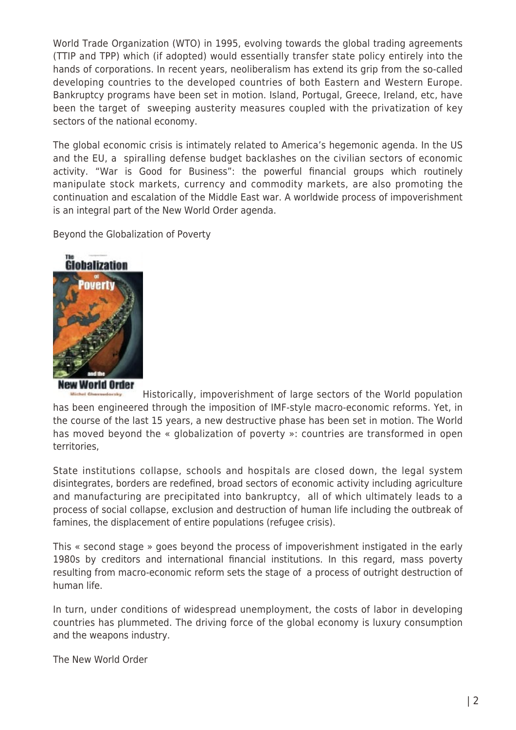World Trade Organization (WTO) in 1995, evolving towards the global trading agreements (TTIP and TPP) which (if adopted) would essentially transfer state policy entirely into the hands of corporations. In recent years, neoliberalism has extend its grip from the so-called developing countries to the developed countries of both Eastern and Western Europe. Bankruptcy programs have been set in motion. Island, Portugal, Greece, Ireland, etc, have been the target of sweeping austerity measures coupled with the privatization of key sectors of the national economy.

The global economic crisis is intimately related to America's hegemonic agenda. In the US and the EU, a spiralling defense budget backlashes on the civilian sectors of economic activity. "War is Good for Business": the powerful financial groups which routinely manipulate stock markets, currency and commodity markets, are also promoting the continuation and escalation of the Middle East war. A worldwide process of impoverishment is an integral part of the New World Order agenda.

Beyond the Globalization of Poverty



New World Order

[H](http://www.globalresearch.ca/wp-content/uploads/2009/07/114425.jpg)istorically, impoverishment of large sectors of the World population has been engineered through the imposition of IMF-style macro-economic reforms. Yet, in the course of the last 15 years, a new destructive phase has been set in motion. The World has moved beyond the « globalization of poverty »: countries are transformed in open territories,

State institutions collapse, schools and hospitals are closed down, the legal system disintegrates, borders are redefined, broad sectors of economic activity including agriculture and manufacturing are precipitated into bankruptcy, all of which ultimately leads to a process of social collapse, exclusion and destruction of human life including the outbreak of famines, the displacement of entire populations (refugee crisis).

This « second stage » goes beyond the process of impoverishment instigated in the early 1980s by creditors and international financial institutions. In this regard, mass poverty resulting from macro-economic reform sets the stage of a process of outright destruction of human life.

In turn, under conditions of widespread unemployment, the costs of labor in developing countries has plummeted. The driving force of the global economy is luxury consumption and the weapons industry.

The New World Order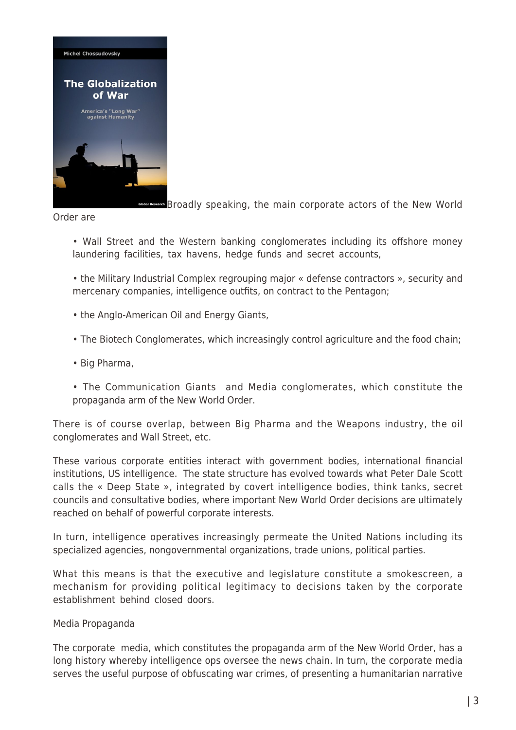

**[B](http://www.globalresearch.ca/wp-content/uploads/2015/01/Globalization-of-war-front-cover-michel-chossudovsky.jpg)roadly speaking, the main corporate actors of the New World** 

Order are

- Wall Street and the Western banking conglomerates including its offshore money laundering facilities, tax havens, hedge funds and secret accounts,
- the Military Industrial Complex regrouping major « defense contractors », security and mercenary companies, intelligence outfits, on contract to the Pentagon;
- the Anglo-American Oil and Energy Giants,
- The Biotech Conglomerates, which increasingly control agriculture and the food chain;
- Big Pharma,
- The Communication Giants and Media conglomerates, which constitute the propaganda arm of the New World Order.

There is of course overlap, between Big Pharma and the Weapons industry, the oil conglomerates and Wall Street, etc.

These various corporate entities interact with government bodies, international financial institutions, US intelligence. The state structure has evolved towards what Peter Dale Scott calls the « Deep State », integrated by covert intelligence bodies, think tanks, secret councils and consultative bodies, where important New World Order decisions are ultimately reached on behalf of powerful corporate interests.

In turn, intelligence operatives increasingly permeate the United Nations including its specialized agencies, nongovernmental organizations, trade unions, political parties.

What this means is that the executive and legislature constitute a smokescreen, a mechanism for providing political legitimacy to decisions taken by the corporate establishment behind closed doors.

## Media Propaganda

The corporate media, which constitutes the propaganda arm of the New World Order, has a long history whereby intelligence ops oversee the news chain. In turn, the corporate media serves the useful purpose of obfuscating war crimes, of presenting a humanitarian narrative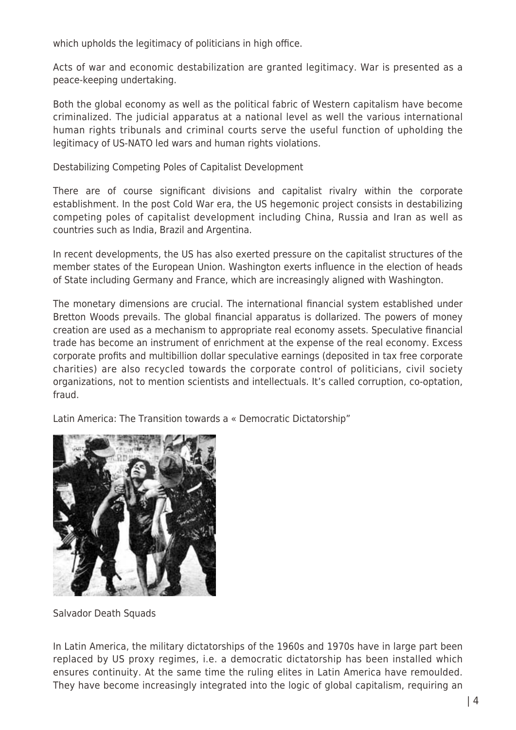which upholds the legitimacy of politicians in high office.

Acts of war and economic destabilization are granted legitimacy. War is presented as a peace-keeping undertaking.

Both the global economy as well as the political fabric of Western capitalism have become criminalized. The judicial apparatus at a national level as well the various international human rights tribunals and criminal courts serve the useful function of upholding the legitimacy of US-NATO led wars and human rights violations.

Destabilizing Competing Poles of Capitalist Development

There are of course significant divisions and capitalist rivalry within the corporate establishment. In the post Cold War era, the US hegemonic project consists in destabilizing competing poles of capitalist development including China, Russia and Iran as well as countries such as India, Brazil and Argentina.

In recent developments, the US has also exerted pressure on the capitalist structures of the member states of the European Union. Washington exerts influence in the election of heads of State including Germany and France, which are increasingly aligned with Washington.

The monetary dimensions are crucial. The international financial system established under Bretton Woods prevails. The global financial apparatus is dollarized. The powers of money creation are used as a mechanism to appropriate real economy assets. Speculative financial trade has become an instrument of enrichment at the expense of the real economy. Excess corporate profits and multibillion dollar speculative earnings (deposited in tax free corporate charities) are also recycled towards the corporate control of politicians, civil society organizations, not to mention scientists and intellectuals. It's called corruption, co-optation, fraud.

Latin America: The Transition towards a « Democratic Dictatorship"



Salvador Death Squads

In Latin America, the military dictatorships of the 1960s and 1970s have in large part been replaced by US proxy regimes, i.e. a democratic dictatorship has been installed which ensures continuity. At the same time the ruling elites in Latin America have remoulded. They have become increasingly integrated into the logic of global capitalism, requiring an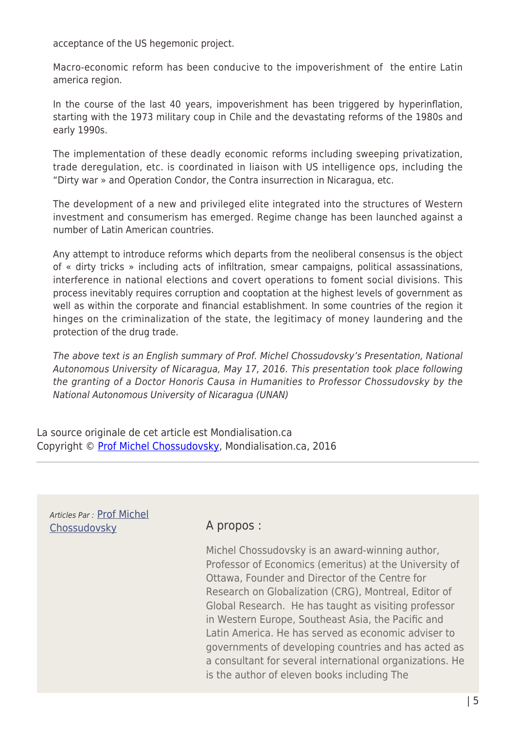acceptance of the US hegemonic project.

Macro-economic reform has been conducive to the impoverishment of the entire Latin america region.

In the course of the last 40 years, impoverishment has been triggered by hyperinflation, starting with the 1973 military coup in Chile and the devastating reforms of the 1980s and early 1990s.

The implementation of these deadly economic reforms including sweeping privatization, trade deregulation, etc. is coordinated in liaison with US intelligence ops, including the "Dirty war » and Operation Condor, the Contra insurrection in Nicaragua, etc.

The development of a new and privileged elite integrated into the structures of Western investment and consumerism has emerged. Regime change has been launched against a number of Latin American countries.

Any attempt to introduce reforms which departs from the neoliberal consensus is the object of « dirty tricks » including acts of infiltration, smear campaigns, political assassinations, interference in national elections and covert operations to foment social divisions. This process inevitably requires corruption and cooptation at the highest levels of government as well as within the corporate and financial establishment. In some countries of the region it hinges on the criminalization of the state, the legitimacy of money laundering and the protection of the drug trade.

The above text is an English summary of Prof. Michel Chossudovsky's Presentation, National Autonomous University of Nicaragua, May 17, 2016. This presentation took place following the granting of a Doctor Honoris Causa in Humanities to Professor Chossudovsky by the National Autonomous University of Nicaragua (UNAN)

La source originale de cet article est Mondialisation.ca Copyright © [Prof Michel Chossudovsky](https://www.mondialisation.ca/author/michel-chossudovsky), Mondialisation.ca, 2016

Articles Par : [Prof Michel](https://www.mondialisation.ca/author/michel-chossudovsky) [Chossudovsky](https://www.mondialisation.ca/author/michel-chossudovsky) **A propos :** 

Michel Chossudovsky is an award-winning author, Professor of Economics (emeritus) at the University of Ottawa, Founder and Director of the Centre for Research on Globalization (CRG), Montreal, Editor of Global Research. He has taught as visiting professor in Western Europe, Southeast Asia, the Pacific and Latin America. He has served as economic adviser to governments of developing countries and has acted as a consultant for several international organizations. He is the author of eleven books including The